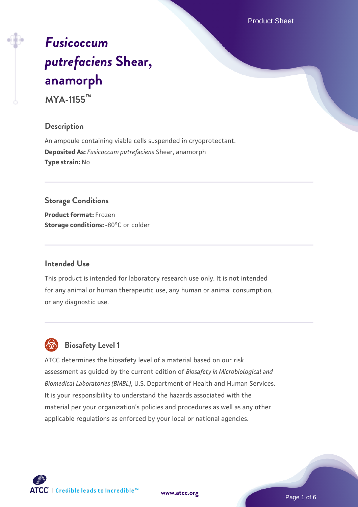Product Sheet

# *[Fusicoccum](https://www.atcc.org/products/mya-1155) [putrefaciens](https://www.atcc.org/products/mya-1155)* **[Shear,](https://www.atcc.org/products/mya-1155) [anamorph](https://www.atcc.org/products/mya-1155) MYA-1155™**

# **Description**

An ampoule containing viable cells suspended in cryoprotectant. **Deposited As:** *Fusicoccum putrefaciens* Shear, anamorph **Type strain:** No

**Storage Conditions Product format:** Frozen **Storage conditions: -80°C or colder** 

#### **Intended Use**

This product is intended for laboratory research use only. It is not intended for any animal or human therapeutic use, any human or animal consumption, or any diagnostic use.

# **Biosafety Level 1**

ATCC determines the biosafety level of a material based on our risk assessment as guided by the current edition of *Biosafety in Microbiological and Biomedical Laboratories (BMBL)*, U.S. Department of Health and Human Services. It is your responsibility to understand the hazards associated with the material per your organization's policies and procedures as well as any other applicable regulations as enforced by your local or national agencies.



**[www.atcc.org](http://www.atcc.org)**

Page 1 of 6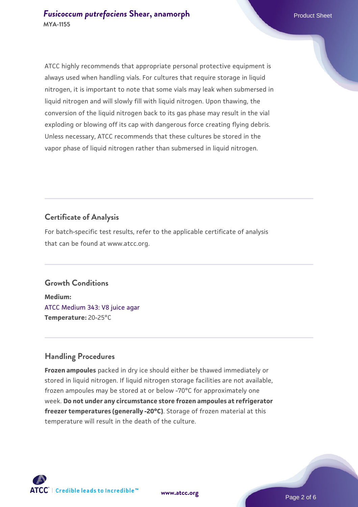ATCC highly recommends that appropriate personal protective equipment is always used when handling vials. For cultures that require storage in liquid nitrogen, it is important to note that some vials may leak when submersed in liquid nitrogen and will slowly fill with liquid nitrogen. Upon thawing, the conversion of the liquid nitrogen back to its gas phase may result in the vial exploding or blowing off its cap with dangerous force creating flying debris. Unless necessary, ATCC recommends that these cultures be stored in the vapor phase of liquid nitrogen rather than submersed in liquid nitrogen.

# **Certificate of Analysis**

For batch-specific test results, refer to the applicable certificate of analysis that can be found at www.atcc.org.

#### **Growth Conditions**

**Medium:**  [ATCC Medium 343: V8 juice agar](https://www.atcc.org/-/media/product-assets/documents/microbial-media-formulations/3/4/3/atcc-medium-0343.pdf?rev=fbf48fa24e664932828269db1822ab12) **Temperature:** 20-25°C

## **Handling Procedures**

**Frozen ampoules** packed in dry ice should either be thawed immediately or stored in liquid nitrogen. If liquid nitrogen storage facilities are not available, frozen ampoules may be stored at or below -70°C for approximately one week. **Do not under any circumstance store frozen ampoules at refrigerator freezer temperatures (generally -20°C)**. Storage of frozen material at this temperature will result in the death of the culture.



**[www.atcc.org](http://www.atcc.org)**

Page 2 of 6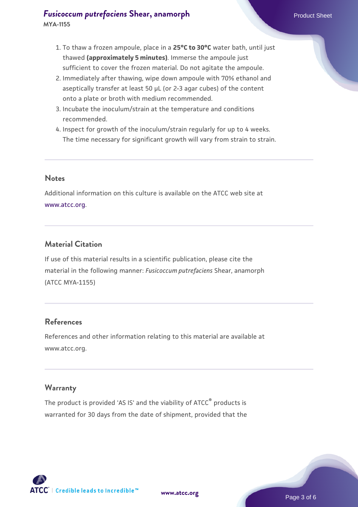# *[Fusicoccum putrefaciens](https://www.atcc.org/products/mya-1155)* [Shear, anamorph](https://www.atcc.org/products/mya-1155) Product Sheet

**MYA-1155**

- 1. To thaw a frozen ampoule, place in a **25°C to 30°C** water bath, until just thawed **(approximately 5 minutes)**. Immerse the ampoule just sufficient to cover the frozen material. Do not agitate the ampoule.
- 2. Immediately after thawing, wipe down ampoule with 70% ethanol and aseptically transfer at least 50 µL (or 2-3 agar cubes) of the content onto a plate or broth with medium recommended.
- 3. Incubate the inoculum/strain at the temperature and conditions recommended.
- 4. Inspect for growth of the inoculum/strain regularly for up to 4 weeks. The time necessary for significant growth will vary from strain to strain.

#### **Notes**

Additional information on this culture is available on the ATCC web site at [www.atcc.org.](http://www.atcc.org/)

# **Material Citation**

If use of this material results in a scientific publication, please cite the material in the following manner: *Fusicoccum putrefaciens* Shear, anamorph (ATCC MYA-1155)

## **References**

References and other information relating to this material are available at www.atcc.org.

## **Warranty**

The product is provided 'AS IS' and the viability of ATCC<sup>®</sup> products is warranted for 30 days from the date of shipment, provided that the

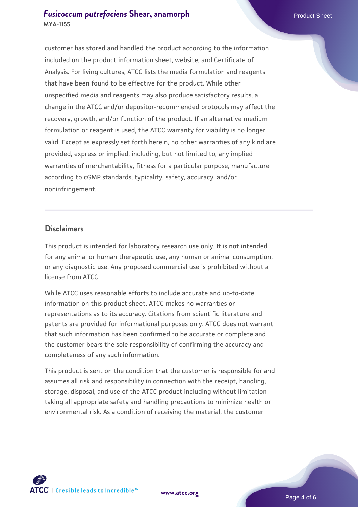# *[Fusicoccum putrefaciens](https://www.atcc.org/products/mya-1155)* [Shear, anamorph](https://www.atcc.org/products/mya-1155) Product Sheet **MYA-1155**

customer has stored and handled the product according to the information included on the product information sheet, website, and Certificate of Analysis. For living cultures, ATCC lists the media formulation and reagents that have been found to be effective for the product. While other unspecified media and reagents may also produce satisfactory results, a change in the ATCC and/or depositor-recommended protocols may affect the recovery, growth, and/or function of the product. If an alternative medium formulation or reagent is used, the ATCC warranty for viability is no longer valid. Except as expressly set forth herein, no other warranties of any kind are provided, express or implied, including, but not limited to, any implied warranties of merchantability, fitness for a particular purpose, manufacture according to cGMP standards, typicality, safety, accuracy, and/or noninfringement.

#### **Disclaimers**

This product is intended for laboratory research use only. It is not intended for any animal or human therapeutic use, any human or animal consumption, or any diagnostic use. Any proposed commercial use is prohibited without a license from ATCC.

While ATCC uses reasonable efforts to include accurate and up-to-date information on this product sheet, ATCC makes no warranties or representations as to its accuracy. Citations from scientific literature and patents are provided for informational purposes only. ATCC does not warrant that such information has been confirmed to be accurate or complete and the customer bears the sole responsibility of confirming the accuracy and completeness of any such information.

This product is sent on the condition that the customer is responsible for and assumes all risk and responsibility in connection with the receipt, handling, storage, disposal, and use of the ATCC product including without limitation taking all appropriate safety and handling precautions to minimize health or environmental risk. As a condition of receiving the material, the customer



**[www.atcc.org](http://www.atcc.org)**

Page 4 of 6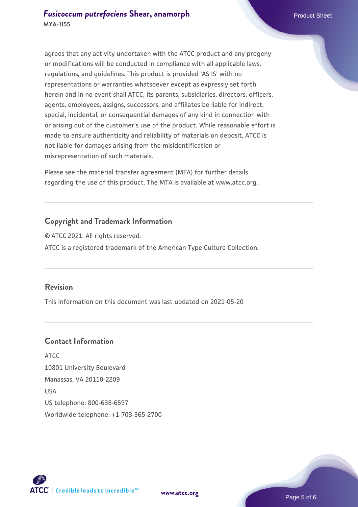agrees that any activity undertaken with the ATCC product and any progeny or modifications will be conducted in compliance with all applicable laws, regulations, and guidelines. This product is provided 'AS IS' with no representations or warranties whatsoever except as expressly set forth herein and in no event shall ATCC, its parents, subsidiaries, directors, officers, agents, employees, assigns, successors, and affiliates be liable for indirect, special, incidental, or consequential damages of any kind in connection with or arising out of the customer's use of the product. While reasonable effort is made to ensure authenticity and reliability of materials on deposit, ATCC is not liable for damages arising from the misidentification or misrepresentation of such materials.

Please see the material transfer agreement (MTA) for further details regarding the use of this product. The MTA is available at www.atcc.org.

# **Copyright and Trademark Information**

© ATCC 2021. All rights reserved. ATCC is a registered trademark of the American Type Culture Collection.

# **Revision**

This information on this document was last updated on 2021-05-20

# **Contact Information**

ATCC 10801 University Boulevard Manassas, VA 20110-2209 USA US telephone: 800-638-6597 Worldwide telephone: +1-703-365-2700